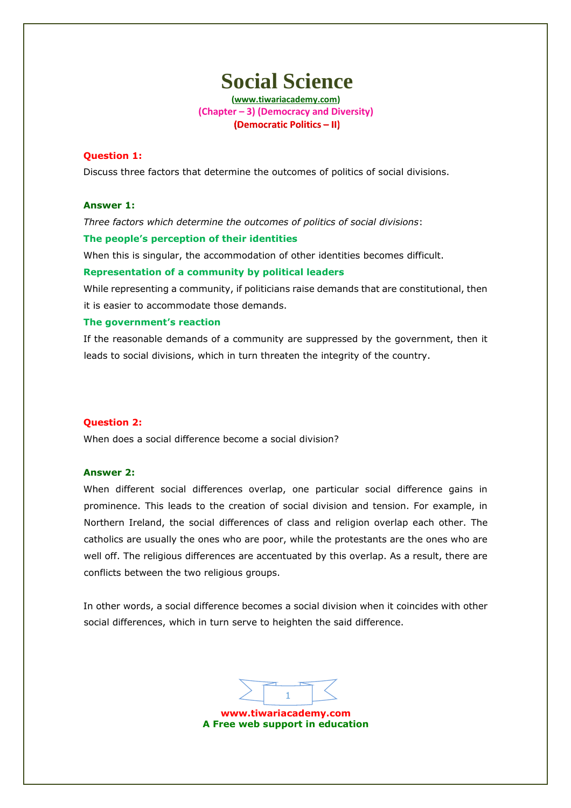**(www.tiwariacademy.com) (Chapter – 3) (Democracy and Diversity)** (Democratic Politics - II)

#### **Question 1:**

Discuss three factor[s that determine the outcomes of politics of social](www.tiwariacademy.com) divisions.

### **Answer 1:**

*Three factors which determine the outcomes of politics of social divisions*:

#### **The people's perception of their identities**

When this is singular, the accommodation of other identities becomes difficult.

#### **Representation of a community by political leaders**

While representing a community, if politicians raise demands that are constitutional, then it is easier to accommodate those demands.

#### **The government's reaction**

If the reasonable demands of a community are suppressed by the government, then it leads to social divisions, which in turn threaten the integrity of the country.

#### **Question 2:**

When does a social difference become a social division?

#### **Answer 2:**

When different social differences overlap, one particular social difference gains in prominence. This leads to the creation of social division and tension. For example, in Northern Ireland, the social differences of class and religion overlap each other. The catholics are usually the ones who are poor, while the protestants are the ones who are well off. The religious differences are accentuated by this overlap. As a result, there are conflicts between the two religious groups.

In other words, a social difference becomes a social division when it coincides with other social differences, which in turn serve to heighten the said difference.

1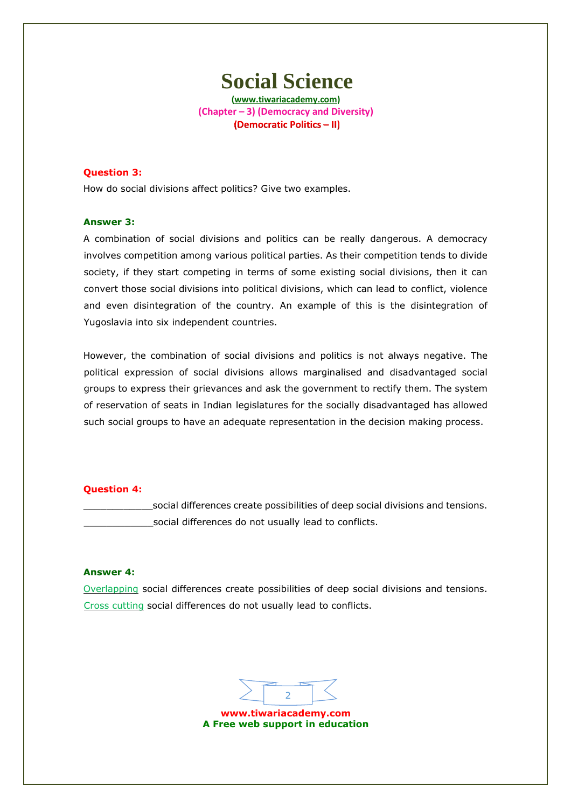**(www.tiwariacademy.com) (Chapter – 3) (Democracy and Diversity)** (Democratic Politics - II)

## **Question 3:**

How do social divisions affect politics? Give two examples.

### **Answer 3:**

A combination of social divisions and politics can be really dangerous. A democracy involves competition among various political parties. As their competition tends to divide society, if they start competing in terms of some existing social divisions, then it can convert those social divisions into political divisions, which can lead to conflict, violence and even disintegration of the country. An example of this is the disintegration of Yugoslavia into six independent countries.

However, the combination of social divisions and politics is not always negative. The political expression of social divisions allows marginalised and disadvantaged social groups to express their grievances and ask the government to rectify them. The system of reservation of seats in Indian legislatures for the socially disadvantaged has allowed such social groups to have an adequate representation in the decision making process.

#### **Question 4:**

[\\_\\_\\_\\_\\_\\_\\_\\_\\_\\_\\_\\_socia](www.tiwariacademy.com)l differences create possibilities of deep social divisions and tensions. \_\_\_\_\_\_\_\_\_\_\_\_social differences do not usually lead to conflicts.

### **Answer 4:**

Overlapping social differences create possibilities of deep social divisions and tensions. Cross cutting social differences do not usually lead to conflicts.

2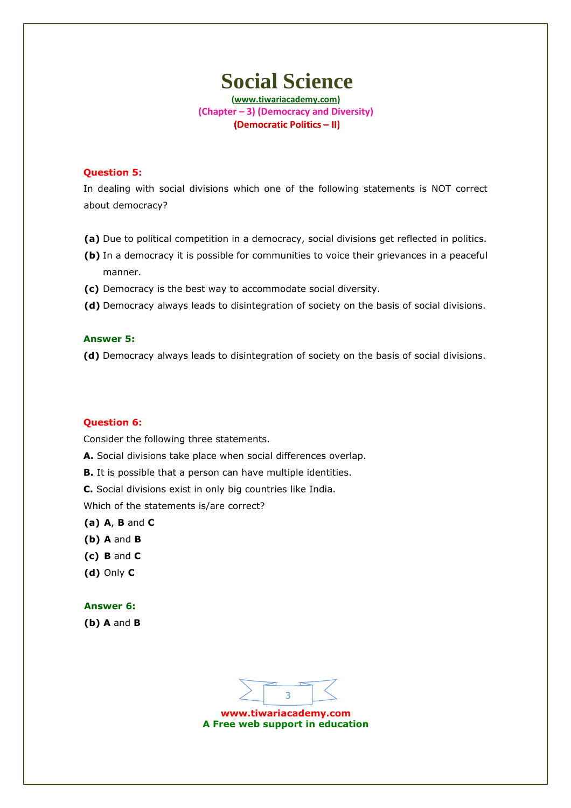**(www.tiwariacademy.com) (Chapter – 3) (Democracy and Diversity)** (Democratic Politics - II)

#### **Question 5:**

In dealing with social divisions which one of the following statements is NOT correct about democracy?

- **(a)** Due to political competition in a democracy, social divisions get reflected in politics.
- **(b)** In a democracy it is possible for communities to voice their grievances in a peaceful manner.
- **(c)** Democracy is the best way to accommodate social diversity.
- **(d)** Democracy always leads to disintegration of society on the basis of social divisions.

#### **Answer 5:**

**(d)** Democracy always leads to disintegration of society on the basis of social divisions.

#### **Question 6:**

Consider the following three statements.

- **Α.** Social divisions take place when social differences overlap.
- **B.** It is possible that a person can have multiple identities.

**C.** Social divisions exist in only big countries like India.

Which of the statements is/are correct?

- **(a) A**, **B** and **C**
- **(b) A** and **B**
- **(c) B** and **C**
- **(d)** Only **C**

#### **Answer 6:**

**(b) A** and **B**

3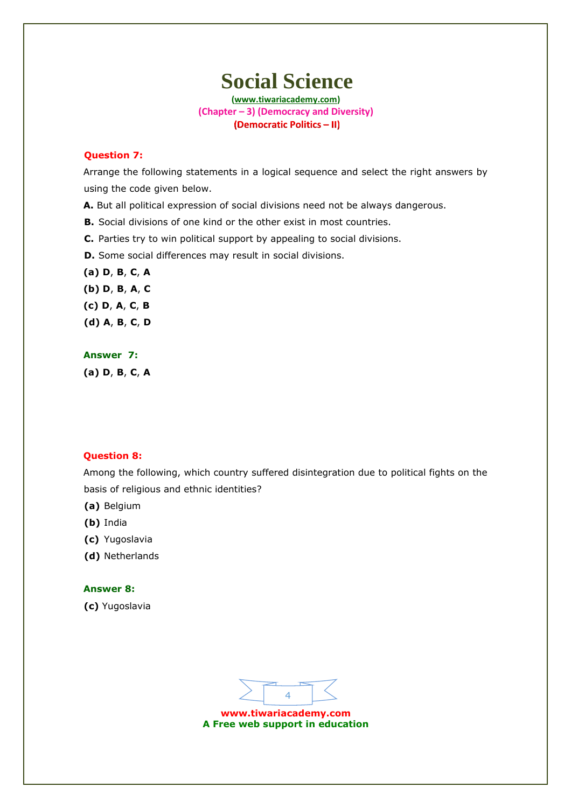**(www.tiwariacademy.com) (Chapter – 3) (Democracy and Diversity)** (Democratic Politics - II)

#### **Question 7:**

Arrange the following statements in a logical sequence and select the right answers by using the code given below.

**A.** But all political expression of social divisions need not be always dangerous.

**B.** Social divisions of one kind or the other exist in most countries.

**C.** Parties try to win political support by appealing to social divisions.

**D.** Some social differences may result in social divisions.

**(a) D**, **B**, **C**, **A (b) D**, **B**, **A**, **C (c) D**, **A**, **C**, **B (d) A**, **B**, **C**, **D**

## **Answer 7:**

**(a) D**, **B**, **C**, **A**

#### **Question 8:**

Among the following, which country suffered disintegration due to political fights on the basis of religious and ethnic identities?

- **(a)** Belgium
- **(b)** India
- **(c)** Yugoslavia
- **(d)** Netherlands

### **Answer 8:**

**(c)** Yugoslavia